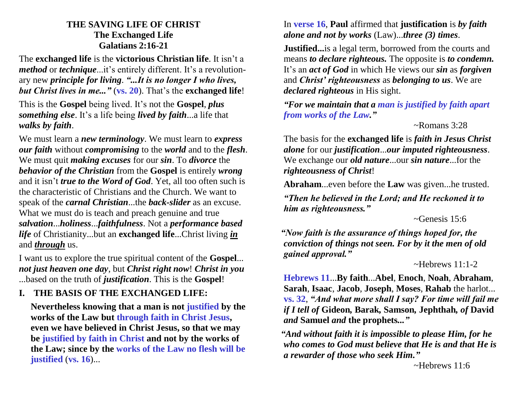#### **THE SAVING LIFE OF CHRIST The Exchanged Life Galatians 2:16-21**

The **exchanged life** is the **victorious Christian life**. It isn't a *method* or *technique*...it's entirely different. It's a revolutionary new *principle for living*. *"...It is no longer I who lives, but Christ lives in me..."* (**vs. 20**). That's the **exchanged life**!

This is the **Gospel** being lived. It's not the **Gospel**, *plus something else*. It's a life being *lived by faith*...a life that *walks by faith*.

We must learn a *new terminology*. We must learn to *express our faith* without *compromising* to the *world* and to the *flesh*. We must quit *making excuses* for our *sin*. To *divorce* the *behavior of the Christian* from the **Gospel** is entirely *wrong* and it isn't *true to the Word of God*. Yet, all too often such is the characteristic of Christians and the Church. We want to speak of the *carnal Christian*...the *back-slider* as an excuse. What we must do is teach and preach genuine and true *salvation*...*holiness*...*faithfulness*. Not a *performance based life* of Christianity...but an **exchanged life**...Christ living *in* and *through* us.

I want us to explore the true spiritual content of the **Gospel**... *not just heaven one day*, but *Christ right now*! *Christ in you* ...based on the truth of *justification*. This is the **Gospel**!

## **I. THE BASIS OF THE EXCHANGED LIFE:**

**Nevertheless knowing that a man is not justified by the works of the Law but through faith in Christ Jesus, even we have believed in Christ Jesus, so that we may be justified by faith in Christ and not by the works of the Law; since by the works of the Law no flesh will be justified** (**vs. 16**)...

#### In **verse 16**, **Paul** affirmed that **justification** is *by faith alone and not by works* (Law)...*three (3) times*.

**Justified...** is a legal term, borrowed from the courts and means *to declare righteous.* The opposite is *to condemn.* It's an *act of God* in which He views our *sin* as *forgiven* and *Christ' righteousness* as *belonging to us*. We are *declared righteous* in His sight.

*"For we maintain that a man is justified by faith apart from works of the Law."*

#### ~Romans 3:28

The basis for the **exchanged life** is *faith in Jesus Christ alone* for our *justification*...*our imputed righteousness*. We exchange our *old nature*...our *sin nature*...for the *righteousness of Christ*!

**Abraham**...even before the **Law** was given...he trusted.

*"Then he believed in the Lord; and He reckoned it to him as righteousness."*

#### $\sim$ Genesis 15:6

*"Now faith is the assurance of things hoped for, the conviction of things not seen. For by it the men of old gained approval."*

#### $\sim$ Hebrews 11.1-2

**Hebrews 11**...**By faith**...**Abel**, **Enoch**, **Noah**, **Abraham**, **Sarah**, **Isaac**, **Jacob**, **Joseph**, **Moses**, **Rahab** the harlot... **vs. 32**, *"And what more shall I say? For time will fail me if I tell of* **Gideon***,* **Barak***,* **Samson***,* **Jephthah***, of* **David** *and* **Samuel** *and* **the prophets***..."*

*"And without faith it is impossible to please Him, for he who comes to God must believe that He is and that He is a rewarder of those who seek Him."*

~Hebrews 11:6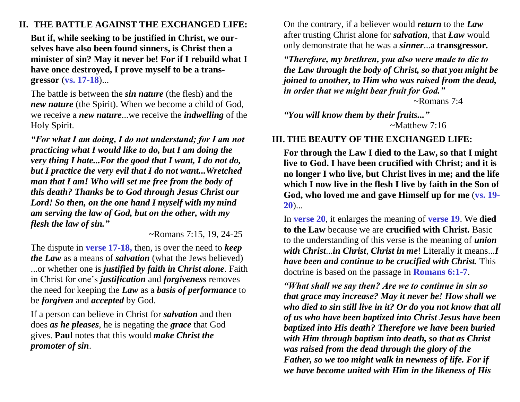## **II. THE BATTLE AGAINST THE EXCHANGED LIFE:**

**But if, while seeking to be justified in Christ, we ourselves have also been found sinners, is Christ then a minister of sin? May it never be! For if I rebuild what I have once destroyed, I prove myself to be a transgressor** (**vs. 17-18**)...

The battle is between the *sin nature* (the flesh) and the *new nature* (the Spirit). When we become a child of God, we receive a *new nature*...we receive the *indwelling* of the Holy Spirit.

*"For what I am doing, I do not understand; for I am not practicing what I would like to do, but I am doing the very thing I hate...For the good that I want, I do not do, but I practice the very evil that I do not want...Wretched man that I am! Who will set me free from the body of this death? Thanks be to God through Jesus Christ our Lord! So then, on the one hand I myself with my mind am serving the law of God, but on the other, with my flesh the law of sin."*

~Romans 7:15, 19, 24-25

The dispute in **verse 17-18,** then, is over the need to *keep the Law* as a means of *salvation* (what the Jews believed) ...or whether one is *justified by faith in Christ alone*. Faith in Christ for one's *justification* and *forgiveness* removes the need for keeping the *Law* as a *basis of performance* to be *forgiven* and *accepted* by God.

If a person can believe in Christ for *salvation* and then does *as he pleases*, he is negating the *grace* that God gives. **Paul** notes that this would *make Christ the promoter of sin*.

On the contrary, if a believer would *return* to the *Law* after trusting Christ alone for *salvation*, that *Law* would only demonstrate that he was a *sinner*...a **transgressor***.*

*"Therefore, my brethren, you also were made to die to the Law through the body of Christ, so that you might be joined to another, to Him who was raised from the dead, in order that we might bear fruit for God."*

~Romans 7:4

*"You will know them by their fruits..."*  $\sim$ Matthew 7:16

### **III. THE BEAUTY OF THE EXCHANGED LIFE:**

**For through the Law I died to the Law, so that I might live to God. I have been crucified with Christ; and it is no longer I who live, but Christ lives in me; and the life which I now live in the flesh I live by faith in the Son of God, who loved me and gave Himself up for me** (**vs. 19- 20**)...

In **verse 20**, it enlarges the meaning of **verse 19**. We **died to the Law** because we are **crucified with Christ***.* Basic to the understanding of this verse is the meaning of *union with Christ*...*in Christ*, *Christ in me*! Literally it means...*I have been and continue to be crucified with Christ.* This doctrine is based on the passage in **Romans 6:1-7**.

*"What shall we say then? Are we to continue in sin so that grace may increase? May it never be! How shall we who died to sin still live in it? Or do you not know that all of us who have been baptized into Christ Jesus have been baptized into His death? Therefore we have been buried with Him through baptism into death, so that as Christ was raised from the dead through the glory of the Father, so we too might walk in newness of life. For if we have become united with Him in the likeness of His*